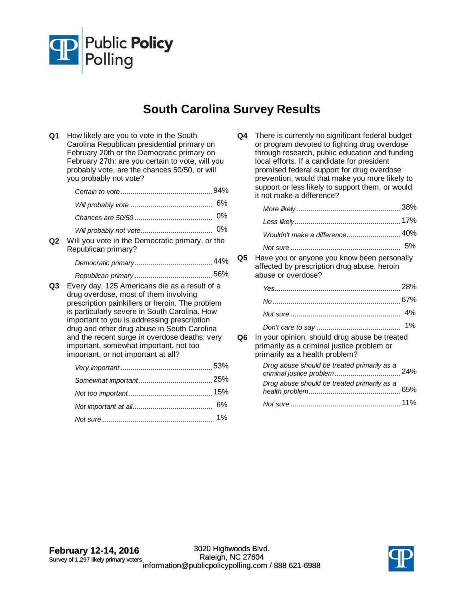

## **South Carolina Survey Results**

| Q1 | How likely are you to vote in the South<br>Carolina Republican presidential primary on<br>February 20th or the Democratic primary on<br>February 27th: are you certain to vote, will you<br>probably vote, are the chances 50/50, or will<br>you probably not vote?                                                                                                                                                        |
|----|----------------------------------------------------------------------------------------------------------------------------------------------------------------------------------------------------------------------------------------------------------------------------------------------------------------------------------------------------------------------------------------------------------------------------|
|    |                                                                                                                                                                                                                                                                                                                                                                                                                            |
|    | 6%                                                                                                                                                                                                                                                                                                                                                                                                                         |
|    | 0%                                                                                                                                                                                                                                                                                                                                                                                                                         |
|    |                                                                                                                                                                                                                                                                                                                                                                                                                            |
| Q2 | Will you vote in the Democratic primary, or the<br>Republican primary?                                                                                                                                                                                                                                                                                                                                                     |
|    |                                                                                                                                                                                                                                                                                                                                                                                                                            |
|    |                                                                                                                                                                                                                                                                                                                                                                                                                            |
| Q3 | Every day, 125 Americans die as a result of a<br>drug overdose, most of them involving<br>prescription painkillers or heroin. The problem<br>is particularly severe in South Carolina. How<br>important to you is addressing prescription<br>drug and other drug abuse in South Carolina<br>and the recent surge in overdose deaths: very<br>important, somewhat important, not too<br>important, or not important at all? |
|    |                                                                                                                                                                                                                                                                                                                                                                                                                            |
|    |                                                                                                                                                                                                                                                                                                                                                                                                                            |
|    |                                                                                                                                                                                                                                                                                                                                                                                                                            |
|    | 6%                                                                                                                                                                                                                                                                                                                                                                                                                         |
|    | 1%                                                                                                                                                                                                                                                                                                                                                                                                                         |

| Q4 | There is currently no significant federal budget<br>or program devoted to fighting drug overdose<br>through research, public education and funding<br>local efforts. If a candidate for president<br>promised federal support for drug overdose<br>prevention, would that make you more likely to<br>support or less likely to support them, or would |
|----|-------------------------------------------------------------------------------------------------------------------------------------------------------------------------------------------------------------------------------------------------------------------------------------------------------------------------------------------------------|
|    | it not make a difference?                                                                                                                                                                                                                                                                                                                             |

**Q5** Have you or anyone you know been personally affected by prescription drug abuse, heroin abuse or overdose?

|    |                                                                                                                               | 28%   |
|----|-------------------------------------------------------------------------------------------------------------------------------|-------|
|    |                                                                                                                               | 67%   |
|    |                                                                                                                               | 4%    |
|    |                                                                                                                               | $1\%$ |
| Q6 | In your opinion, should drug abuse be treated<br>primarily as a criminal justice problem or<br>primarily as a health problem? |       |
|    | Drug abuse should be treated primarily as a                                                                                   |       |
|    | Drug abuse should be treated primarily as a                                                                                   | 65%   |
|    |                                                                                                                               |       |

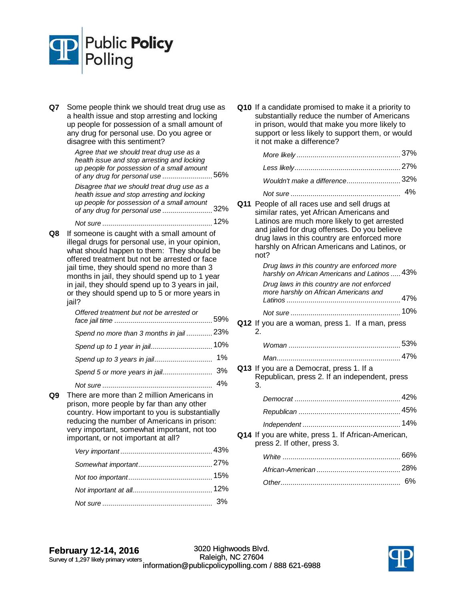

**Q7** Some people think we should treat drug use as a health issue and stop arresting and locking up people for possession of a small amount of any drug for personal use. Do you agree or disagree with this sentiment?

| Agree that we should treat drug use as a<br>health issue and stop arresting and locking<br>up people for possession of a small amount<br>of any drug for personal use | 56% |
|-----------------------------------------------------------------------------------------------------------------------------------------------------------------------|-----|
| Disagree that we should treat drug use as a<br>health issue and stop arresting and locking                                                                            |     |
| up people for possession of a small amount<br>of any drug for personal use                                                                                            | 32% |
| .                                                                                                                                                                     |     |

**Q8** If someone is caught with a small amount of illegal drugs for personal use, in your opinion, what should happen to them: They should be offered treatment but not be arrested or face jail time, they should spend no more than 3 months in jail, they should spend up to 1 year in jail, they should spend up to 3 years in jail, or they should spend up to 5 or more years in jail?

| Offered treatment but not be arrested or |  |
|------------------------------------------|--|
| Spend no more than 3 months in jail 23%  |  |
| Spend up to 1 year in jail 10%           |  |
|                                          |  |
|                                          |  |
|                                          |  |

**Q9** There are more than 2 million Americans in prison, more people by far than any other country. How important to you is substantially reducing the number of Americans in prison: very important, somewhat important, not too important, or not important at all?

**Q10** If a candidate promised to make it a priority to substantially reduce the number of Americans in prison, would that make you more likely to support or less likely to support them, or would it not make a difference?

| Wouldn't make a difference32% |       |
|-------------------------------|-------|
| Not sure                      | $4\%$ |

**Q11** People of all races use and sell drugs at similar rates, yet African Americans and Latinos are much more likely to get arrested and jailed for drug offenses. Do you believe drug laws in this country are enforced more harshly on African Americans and Latinos, or not?

harshly on African Americans and Latinos ..... 43% Drug laws in this country are enforced more 47% Latinos ......................................................... Drug laws in this country are not enforced more harshly on African Americans and Not sure 10% ....................................................... **Q12** If you are a woman, press 1. If a man, press 2. Woman 53% ........................................................ Man 47% .............................................................. **Q13** If you are a Democrat, press 1. If a Republican, press 2. If an independent, press 3. Democrat 42% ..................................................... Republican 45% ................................................... 14% Independent ................................................. **Q14** If you are white, press 1. If African-American, press 2. If other, press 3. White 66% ........................................................... African-American 28% .......................................... Other 6% ............................................................

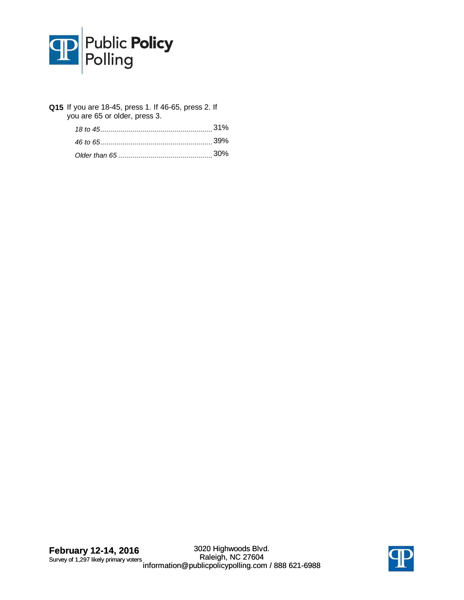

| Q15 If you are 18-45, press 1. If 46-65, press 2. If<br>you are 65 or older, press 3. |  |
|---------------------------------------------------------------------------------------|--|
|                                                                                       |  |
|                                                                                       |  |
|                                                                                       |  |

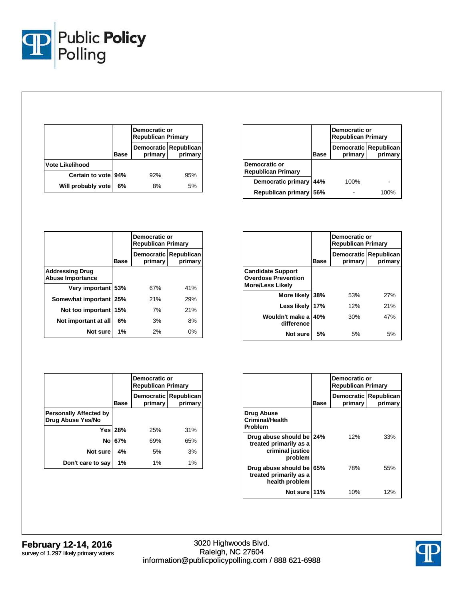

|                        |             | Democratic or<br><b>Republican Primary</b> |                                  |
|------------------------|-------------|--------------------------------------------|----------------------------------|
|                        | <b>Base</b> | primary                                    | Democratic Republican<br>primary |
| <b>Vote Likelihood</b> |             |                                            |                                  |
| Certain to vote 94%    |             | 92%                                        | 95%                              |
| Will probably vote     | 6%          | 8%                                         | 5%                               |

|                                            |      | Democratic or<br><b>Republican Primary</b> |         |
|--------------------------------------------|------|--------------------------------------------|---------|
|                                            | Base | Democratic Republican<br>primary           | primary |
| Democratic or<br><b>Republican Primary</b> |      |                                            |         |
| Democratic primary                         | 44%  | 100%                                       |         |
| <b>Republican primary</b>                  | 56%  |                                            | 100%    |

|                                                   |             | Democratic or<br><b>Republican Primary</b> |                       |
|---------------------------------------------------|-------------|--------------------------------------------|-----------------------|
|                                                   | <b>Base</b> | <b>Democratic</b><br>primary               | Republican<br>primary |
| <b>Addressing Drug</b><br><b>Abuse Importance</b> |             |                                            |                       |
| Very important 53%                                |             | 67%                                        | 41%                   |
| Somewhat important                                | 25%         | 21%                                        | 29%                   |
| Not too important                                 | 15%         | 7%                                         | 21%                   |
| Not important at all                              | 6%          | 3%                                         | 8%                    |
| Not sure                                          | 1%          | 2%                                         | 0%                    |

|                                                                                   |      | Democratic or<br><b>Republican Primary</b>            |     |  |  |
|-----------------------------------------------------------------------------------|------|-------------------------------------------------------|-----|--|--|
|                                                                                   | Base | Republican<br><b>Democratic</b><br>primary<br>primary |     |  |  |
| <b>Candidate Support</b><br><b>Overdose Prevention</b><br><b>More/Less Likely</b> |      |                                                       |     |  |  |
| More likely                                                                       | 38%  | 53%                                                   | 27% |  |  |
| Less likely                                                                       | 17%  | 12%                                                   | 21% |  |  |
| Wouldn't make a<br>difference                                                     | 40%  | 30%                                                   | 47% |  |  |
| Not sure                                                                          | 5%   | 5%                                                    | 5%  |  |  |

|                                                    |                | Democratic or<br><b>Republican Primary</b>  |       |  |
|----------------------------------------------------|----------------|---------------------------------------------|-------|--|
|                                                    | <b>Base</b>    | Democratic Republican<br>primary<br>primary |       |  |
| <b>Personally Affected by</b><br>Drug Abuse Yes/No |                |                                             |       |  |
|                                                    | <b>Yes 28%</b> | 25%                                         | 31%   |  |
| No                                                 | 67%            | 69%                                         | 65%   |  |
| Not sure                                           | 4%             | 5%                                          | 3%    |  |
| Don't care to say                                  | 1%             | 1%                                          | $1\%$ |  |

|                                                                                   |      | Democratic or<br><b>Republican Primary</b> |                                    |  |
|-----------------------------------------------------------------------------------|------|--------------------------------------------|------------------------------------|--|
|                                                                                   | Base | primary                                    | Democratic   Republican<br>primary |  |
| Drug Abuse<br><b>Criminal/Health</b><br><b>Problem</b>                            |      |                                            |                                    |  |
| Drug abuse should be 24%<br>treated primarily as a<br>criminal justice<br>problem |      | 12%                                        | 33%                                |  |
| Drug abuse should be<br>treated primarily as a<br>health problem                  | 65%  | 78%                                        | 55%                                |  |
| Not sure 11%                                                                      |      | 10%                                        | 12%                                |  |

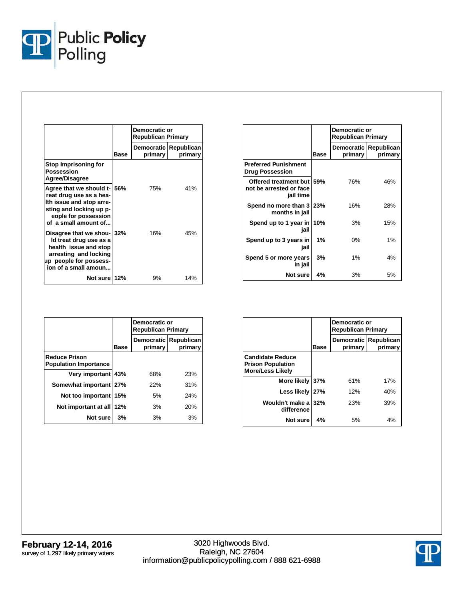

|                                                                                                                                                               |      | Democratic or<br><b>Republican Primary</b> |                                  |
|---------------------------------------------------------------------------------------------------------------------------------------------------------------|------|--------------------------------------------|----------------------------------|
|                                                                                                                                                               | Base | primary                                    | Democratic Republican<br>primary |
| Stop Imprisoning for<br>Possession<br>Agree/Disagree                                                                                                          |      |                                            |                                  |
| Agree that we should t-156%<br>reat drug use as a hea-<br>Ith issue and stop arre-<br>sting and locking up p-<br>eople for possession<br>of a small amount of |      | 75%                                        | 41%                              |
| Disagree that we shou-132%<br>Id treat drug use as a<br>health issue and stop<br>arresting and locking<br>up people for possess-<br>ion of a small amoun      |      | 16%                                        | 45%                              |
| Not sure 12%                                                                                                                                                  |      | 9%                                         | 14%                              |

|                                                                   |      | Democratic or<br><b>Republican Primary</b> |         |  |
|-------------------------------------------------------------------|------|--------------------------------------------|---------|--|
|                                                                   | Base | Democratic Republican<br>primary           | primary |  |
| <b>Preferred Punishment</b><br><b>Drug Possession</b>             |      |                                            |         |  |
| Offered treatment but 59%<br>not be arrested or face<br>jail time |      | 76%                                        | 46%     |  |
| Spend no more than 3 23%<br>months in jail                        |      | 16%                                        | 28%     |  |
| Spend up to 1 year in 10%<br>jail                                 |      | 3%                                         | 15%     |  |
| Spend up to 3 years in<br>jail                                    | 1%   | $0\%$                                      | 1%      |  |
| Spend 5 or more years<br>in jail                                  | 3%   | $1\%$                                      | 4%      |  |
| Not sure                                                          | 4%   | 3%                                         | 5%      |  |

|                                                      |             | Democratic or<br><b>Republican Primary</b>            |     |  |
|------------------------------------------------------|-------------|-------------------------------------------------------|-----|--|
|                                                      | <b>Base</b> | <b>Democratic</b><br>Republican<br>primary<br>primary |     |  |
| <b>Reduce Prison</b><br><b>Population Importance</b> |             |                                                       |     |  |
| Very important 43%                                   |             | 68%                                                   | 23% |  |
| Somewhat important 27%                               |             | 22%                                                   | 31% |  |
| Not too important                                    | 15%         | 5%                                                    | 24% |  |
| Not important at all                                 | 12%         | 3%                                                    | 20% |  |
| Not sure                                             | 3%          | 3%                                                    | 3%  |  |

|                                                                                |             | Democratic or<br><b>Republican Primary</b> |                       |  |  |
|--------------------------------------------------------------------------------|-------------|--------------------------------------------|-----------------------|--|--|
|                                                                                | <b>Base</b> | <b>Democratic</b><br>primary               | Republican<br>primary |  |  |
| <b>Candidate Reduce</b><br><b>Prison Population</b><br><b>More/Less Likely</b> |             |                                            |                       |  |  |
| More likely                                                                    | 37%         | 61%                                        | 17%                   |  |  |
| Less likely                                                                    | 27%         | 12%                                        | 40%                   |  |  |
| Wouldn't make a<br>difference                                                  | 32%         | 23%                                        | 39%                   |  |  |
| Not sure                                                                       | 4%          | 5%                                         | 4%                    |  |  |

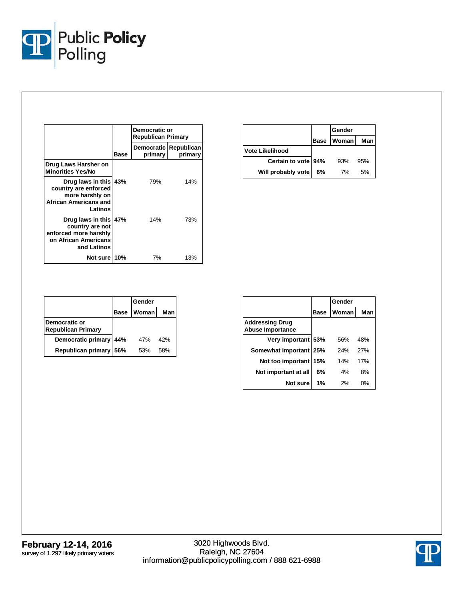

|                                                                                                          | Democratic or<br><b>Republican Primary</b> |                                  |         |
|----------------------------------------------------------------------------------------------------------|--------------------------------------------|----------------------------------|---------|
|                                                                                                          | Base                                       | Democratic Republican<br>primary | primary |
| Drug Laws Harsher on<br><b>Minorities Yes/No</b>                                                         |                                            |                                  |         |
| Drug laws in this 43%<br>country are enforced<br>more harshly on<br>African Americans and<br>Latinos     |                                            | 79%                              | 14%     |
| Drug laws in this 47%<br>country are not<br>enforced more harshly<br>on African Americans<br>and Latinos |                                            | 14%                              | 73%     |
| Not sure 10%                                                                                             |                                            | 7%                               | 13%     |

|                     |             | Gender |      |
|---------------------|-------------|--------|------|
|                     | <b>Base</b> | Woman  | Manl |
| Vote Likelihood     |             |        |      |
| Certain to vote 94% |             | 93%    | 95%  |
| Will probably vote  | 6%          | 7%     | 5%   |

|                                            |             | Gender |     |
|--------------------------------------------|-------------|--------|-----|
|                                            | <b>Base</b> | Woman  | Man |
| Democratic or<br><b>Republican Primary</b> |             |        |     |
| Democratic primary                         | 44%         | 47%    | 42% |
| <b>Republican primary</b>                  | 56%         | 53%    | 58% |

|                                                   |      | Gender |     |
|---------------------------------------------------|------|--------|-----|
|                                                   | Base | Woman  | Man |
| <b>Addressing Drug</b><br><b>Abuse Importance</b> |      |        |     |
| Very important 53%                                |      | 56%    | 48% |
| Somewhat important   25%                          |      | 24%    | 27% |
| Not too important                                 | 15%  | 14%    | 17% |
| Not important at all                              | 6%   | 4%     | 8%  |
| Not sure                                          | 1%   | 2%     | 0%  |

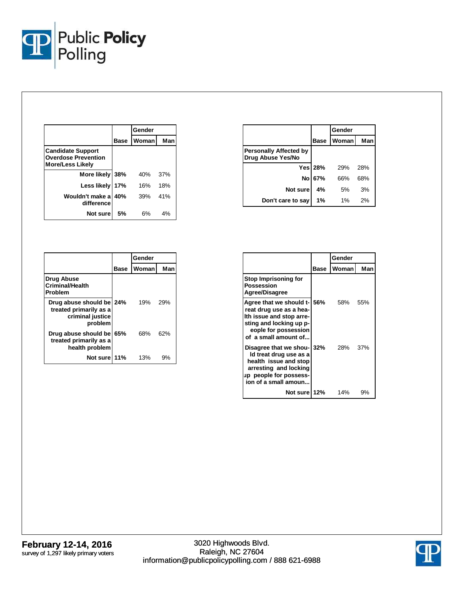

|                                                                                   |      | Gender |     |
|-----------------------------------------------------------------------------------|------|--------|-----|
|                                                                                   | Base | Woman  | Man |
| <b>Candidate Support</b><br><b>Overdose Prevention</b><br><b>More/Less Likely</b> |      |        |     |
| More likely                                                                       | 38%  | 40%    | 37% |
| Less likely                                                                       | 17%  | 16%    | 18% |
| Wouldn't make a<br>difference                                                     | 40%  | 39%    | 41% |
| Not sure                                                                          | 5%   | 6%     | 4%  |

|                                                                                   |      | Gender |     |
|-----------------------------------------------------------------------------------|------|--------|-----|
|                                                                                   | Base | Woman  | Man |
| <b>Drug Abuse</b><br><b>Criminal/Health</b><br>Problem                            |      |        |     |
| Drug abuse should be 24%<br>treated primarily as a<br>criminal justice<br>problem |      | 19%    | 29% |
| Drug abuse should be 65%<br>treated primarily as a<br>health problem              |      | 68%    | 62% |
| Not sure 11%                                                                      |      | 13%    | 9%  |

|                                                    |                | Gender |     |
|----------------------------------------------------|----------------|--------|-----|
|                                                    | <b>Base</b>    | Woman  | Man |
| <b>Personally Affected by</b><br>Drug Abuse Yes/No |                |        |     |
|                                                    | <b>Yes 28%</b> | 29%    | 28% |
| No l                                               | 67%            | 66%    | 68% |
| Not sure                                           | 4%             | 5%     | 3%  |
| Don't care to say                                  | 1%             | $1\%$  | 2%  |

|                                                                                                                                                           | Gender |       |     |  |
|-----------------------------------------------------------------------------------------------------------------------------------------------------------|--------|-------|-----|--|
|                                                                                                                                                           | Base   | Woman | Man |  |
| Stop Imprisoning for<br>Possession<br><b>Agree/Disagree</b>                                                                                               |        |       |     |  |
| Agree that we should t-<br>reat drug use as a hea-<br>Ith issue and stop arre-<br>sting and locking up p-<br>eople for possession<br>of a small amount of | 56%    | 58%   | 55% |  |
| Disagree that we shou-<br>Id treat drug use as a<br>health issue and stop<br>arresting and locking<br>up people for possess-<br>ion of a small amoun      | 32%    | 28%   | 37% |  |
| Not sure 12%                                                                                                                                              |        | 14%   | 9%  |  |

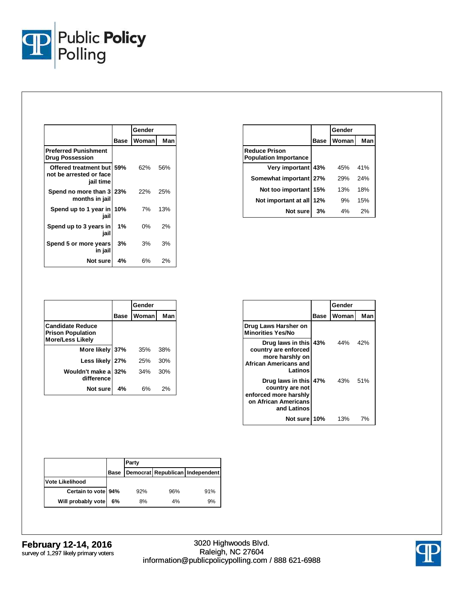

|                                                                   |      | Gender |     |
|-------------------------------------------------------------------|------|--------|-----|
|                                                                   | Base | Woman  | Man |
| <b>Preferred Punishment</b><br><b>Drug Possession</b>             |      |        |     |
| Offered treatment but 59%<br>not be arrested or face<br>jail time |      | 62%    | 56% |
| Spend no more than 3 23%<br>months in jail                        |      | 22%    | 25% |
| Spend up to 1 year in<br>jail                                     | 10%  | 7%     | 13% |
| Spend up to 3 years in<br>jail                                    | 1%   | 0%     | 2%  |
| Spend 5 or more years<br>in jail                                  | 3%   | 3%     | 3%  |
| Not sure                                                          | 4%   | 6%     | 2%  |

|                                                      |      | Gender |     |
|------------------------------------------------------|------|--------|-----|
|                                                      | Base | Woman  | Man |
| <b>Reduce Prison</b><br><b>Population Importance</b> |      |        |     |
| Very important 43%                                   |      | 45%    | 41% |
| Somewhat important   27%                             |      | 29%    | 24% |
| Not too important                                    | 15%  | 13%    | 18% |
| Not important at all                                 | 12%  | 9%     | 15% |
| Not sure                                             | 3%   | 4%     | 2%  |

|                                                                                |             | Gender |     |  |
|--------------------------------------------------------------------------------|-------------|--------|-----|--|
|                                                                                | <b>Base</b> | Woman  | Man |  |
| <b>Candidate Reduce</b><br><b>Prison Population</b><br><b>More/Less Likely</b> |             |        |     |  |
| More likely                                                                    | 37%         | 35%    | 38% |  |
| Less likely                                                                    | 27%         | 25%    | 30% |  |
| Wouldn't make a<br>difference                                                  | 32%         | 34%    | 30% |  |
| Not sure                                                                       | 4%          | 6%     | 2%  |  |

|                                                                                                          |             | Gender |     |
|----------------------------------------------------------------------------------------------------------|-------------|--------|-----|
|                                                                                                          | <b>Base</b> | Woman  | Man |
| Drug Laws Harsher on<br><b>Minorities Yes/No</b>                                                         |             |        |     |
| Drug laws in this 43%<br>country are enforced<br>more harshly on<br>African Americans and<br>Latinos     |             | 44%    | 42% |
| Drug laws in this 47%<br>country are not<br>enforced more harshly<br>on African Americans<br>and Latinos |             | 43%    | 51% |
| Not sure 10%                                                                                             |             | 13%    | 7%  |

|                        |      | Party |     |                                 |  |
|------------------------|------|-------|-----|---------------------------------|--|
|                        | Base |       |     | Democrat Republican Independent |  |
| <b>Vote Likelihood</b> |      |       |     |                                 |  |
| Certain to vote 94%    |      | 92%   | 96% | 91%                             |  |
| Will probably vote     | 6%   | 8%    | 4%  | 9%                              |  |

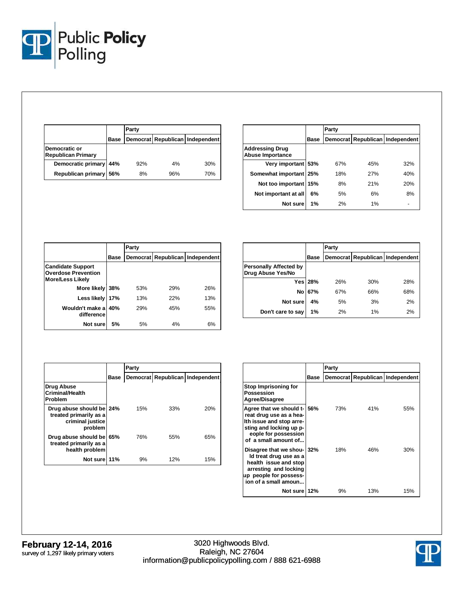

|                                            |             | Party |     |                                 |  |
|--------------------------------------------|-------------|-------|-----|---------------------------------|--|
|                                            | <b>Base</b> |       |     | Democrat Republican Independent |  |
| Democratic or<br><b>Republican Primary</b> |             |       |     |                                 |  |
| Democratic primary                         | 44%         | 92%   | 4%  | 30%                             |  |
| Republican primary                         | 56%         | 8%    | 96% | 70%                             |  |

|                                                   |      | Party |     |                                 |  |
|---------------------------------------------------|------|-------|-----|---------------------------------|--|
|                                                   | Base |       |     | Democrat Republican Independent |  |
| <b>Addressing Drug</b><br><b>Abuse Importance</b> |      |       |     |                                 |  |
| Very important 53%                                |      | 67%   | 45% | 32%                             |  |
| Somewhat important 25%                            |      | 18%   | 27% | 40%                             |  |
| Not too important 15%                             |      | 8%    | 21% | 20%                             |  |
| Not important at all                              | 6%   | 5%    | 6%  | 8%                              |  |
| Not sure                                          | 1%   | 2%    | 1%  |                                 |  |

|                                                                                   |      | Party |     |                                 |  |
|-----------------------------------------------------------------------------------|------|-------|-----|---------------------------------|--|
|                                                                                   | Base |       |     | Democrat Republican Independent |  |
| <b>Candidate Support</b><br><b>Overdose Prevention</b><br><b>More/Less Likely</b> |      |       |     |                                 |  |
| More likely                                                                       | 38%  | 53%   | 29% | 26%                             |  |
| Less likely                                                                       | 17%  | 13%   | 22% | 13%                             |  |
| Wouldn't make a<br>difference                                                     | 40%  | 29%   | 45% | 55%                             |  |
| Not sure                                                                          | 5%   | 5%    | 4%  | 6%                              |  |

|                                                    |         | Party |     |                                 |  |
|----------------------------------------------------|---------|-------|-----|---------------------------------|--|
|                                                    | Base    |       |     | Democrat Republican Independent |  |
| <b>Personally Affected by</b><br>Drug Abuse Yes/No |         |       |     |                                 |  |
|                                                    | Yes 28% | 26%   | 30% | 28%                             |  |
|                                                    | No 67%  | 67%   | 66% | 68%                             |  |
| Not sure                                           | 4%      | 5%    | 3%  | 2%                              |  |
| Don't care to say                                  | 1%      | 2%    | 1%  | 2%                              |  |

|                                                                                   |      | Party |     |                                 |
|-----------------------------------------------------------------------------------|------|-------|-----|---------------------------------|
|                                                                                   | Base |       |     | Democrat Republican Independent |
| Drug Abuse<br>Criminal/Health<br>Problem                                          |      |       |     |                                 |
| Drug abuse should be 24%<br>treated primarily as a<br>criminal justice<br>problem |      | 15%   | 33% | 20%                             |
| Drug abuse should be 65%<br>treated primarily as a<br>health problem              |      | 76%   | 55% | 65%                             |
| Not sure 11%                                                                      |      | 9%    | 12% | 15%                             |

|                                                                                                                                                               |      | Party |     |                                 |
|---------------------------------------------------------------------------------------------------------------------------------------------------------------|------|-------|-----|---------------------------------|
|                                                                                                                                                               | Base |       |     | Democrat Republican Independent |
| Stop Imprisoning for<br>Possession<br>Agree/Disagree                                                                                                          |      |       |     |                                 |
| Agree that we should t- 56%<br>reat drug use as a hea-<br>Ith issue and stop arre-<br>sting and locking up p-<br>eople for possession<br>of a small amount of |      | 73%   | 41% | 55%                             |
| Disagree that we shou- 32%<br>ld treat drug use as a<br>health issue and stop<br>arresting and locking<br>up people for possess-<br>ion of a small amoun      |      | 18%   | 46% | 30%                             |
| Not sure 12%                                                                                                                                                  |      | 9%    | 13% | 15%                             |

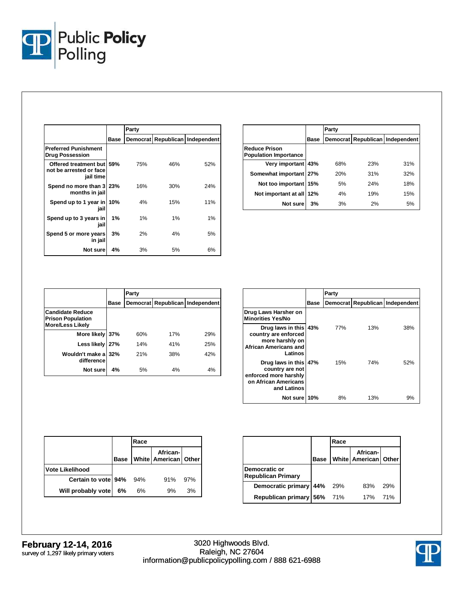

|                                                                   |      | Party |     |                                 |
|-------------------------------------------------------------------|------|-------|-----|---------------------------------|
|                                                                   | Base |       |     | Democrat Republican Independent |
| <b>Preferred Punishment</b><br><b>Drug Possession</b>             |      |       |     |                                 |
| Offered treatment but 59%<br>not be arrested or face<br>jail time |      | 75%   | 46% | 52%                             |
| Spend no more than 3 23%<br>months in jail                        |      | 16%   | 30% | 24%                             |
| Spend up to 1 year in 10%<br>iail                                 |      | 4%    | 15% | 11%                             |
| Spend up to 3 years in<br>jail                                    | 1%   | 1%    | 1%  | 1%                              |
| Spend 5 or more years<br>in jail                                  | 3%   | 2%    | 4%  | 5%                              |
| Not sure                                                          | 4%   | 3%    | 5%  | 6%                              |

|                                               |      | Party |     |                                 |
|-----------------------------------------------|------|-------|-----|---------------------------------|
|                                               | Base |       |     | Democrat Republican Independent |
| Reduce Prison<br><b>Population Importance</b> |      |       |     |                                 |
| Very important 43%                            |      | 68%   | 23% | 31%                             |
| Somewhat important 27%                        |      | 20%   | 31% | 32%                             |
| Not too important                             | 15%  | 5%    | 24% | 18%                             |
| Not important at all 12%                      |      | 4%    | 19% | 15%                             |
| Not sure                                      | 3%   | 3%    | 2%  | 5%                              |

|                                                                                |      | Party |     |                                 |
|--------------------------------------------------------------------------------|------|-------|-----|---------------------------------|
|                                                                                | Base |       |     | Democrat Republican Independent |
| <b>Candidate Reduce</b><br><b>Prison Population</b><br><b>More/Less Likely</b> |      |       |     |                                 |
| More likely 37%                                                                |      | 60%   | 17% | 29%                             |
| Less likely                                                                    | 27%  | 14%   | 41% | 25%                             |
| Wouldn't make a<br>difference                                                  | 32%  | 21%   | 38% | 42%                             |
| Not sure                                                                       | 4%   | 5%    | 4%  | 4%                              |

|                                                                                                             |      | Party |     |                                 |
|-------------------------------------------------------------------------------------------------------------|------|-------|-----|---------------------------------|
|                                                                                                             | Base |       |     | Democrat Republican Independent |
| Drug Laws Harsher on<br><b>Minorities Yes/No</b>                                                            |      |       |     |                                 |
| Drug laws in this 43%<br>country are enforced<br>more harshly on<br><b>African Americans and</b><br>Latinos |      | 77%   | 13% | 38%                             |
| Drug laws in this 47%<br>country are not<br>enforced more harshly<br>on African Americans<br>and Latinos    |      | 15%   | 74% | 52%                             |
| Not sure 10%                                                                                                |      | 8%    | 13% | 9%                              |

|                        |      | Race |                                  |     |
|------------------------|------|------|----------------------------------|-----|
|                        | Base |      | African-<br>White American Other |     |
| <b>Vote Likelihood</b> |      |      |                                  |     |
| Certain to vote 94%    |      | 94%  | 91%                              | 97% |
| Will probably vote     | 6%   | 6%   | 9%                               | 3%  |

|                                            |      | Race |                                         |     |
|--------------------------------------------|------|------|-----------------------------------------|-----|
|                                            | Base |      | African-<br><b>White American Other</b> |     |
| Democratic or<br><b>Republican Primary</b> |      |      |                                         |     |
| Democratic primary 44% 29%                 |      |      | 83%                                     | 29% |
| Republican primary 56% 71%                 |      |      | 17%                                     | 71% |

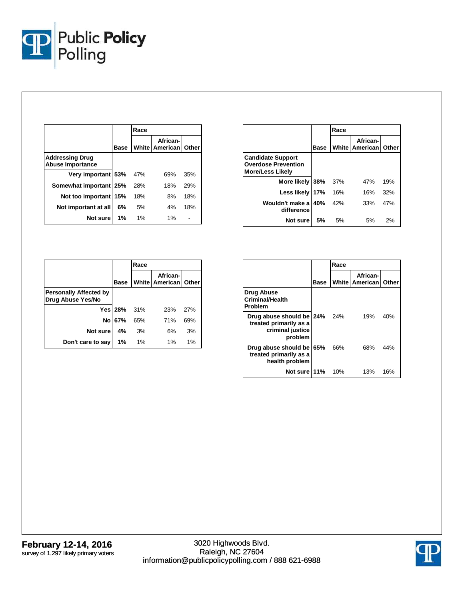

|                                                   |      | Race |                                      |     |
|---------------------------------------------------|------|------|--------------------------------------|-----|
|                                                   | Base |      | African-<br>White   American   Other |     |
| <b>Addressing Drug</b><br><b>Abuse Importance</b> |      |      |                                      |     |
| Very important 53%                                |      | 47%  | 69%                                  | 35% |
| Somewhat important 25%                            |      | 28%  | 18%                                  | 29% |
| Not too important 15%                             |      | 18%  | 8%                                   | 18% |
| Not important at all                              | 6%   | 5%   | 4%                                   | 18% |
| Not sure                                          | 1%   | 1%   | 1%                                   |     |

|                                                                                   |             | Race |                                      |     |
|-----------------------------------------------------------------------------------|-------------|------|--------------------------------------|-----|
|                                                                                   | <b>Base</b> |      | African-<br>White   American   Other |     |
| <b>Candidate Support</b><br><b>Overdose Prevention</b><br><b>More/Less Likely</b> |             |      |                                      |     |
| More likely                                                                       | 38%         | 37%  | 47%                                  | 19% |
| Less likely                                                                       | 17%         | 16%  | 16%                                  | 32% |
| Wouldn't make al<br>difference                                                    | 40%         | 42%  | 33%                                  | 47% |
| Not sure                                                                          | .5%         | 5%   | 5%                                   | 2%  |

|                                                    |         | Race |                                    |     |
|----------------------------------------------------|---------|------|------------------------------------|-----|
|                                                    | Base    |      | African-<br>White American   Other |     |
| <b>Personally Affected by</b><br>Drug Abuse Yes/No |         |      |                                    |     |
|                                                    | Yes 28% | 31%  | 23%                                | 27% |
| <b>No</b>                                          | 67%     | 65%  | 71%                                | 69% |
| Not sure                                           | 4%      | 3%   | 6%                                 | 3%  |
| Don't care to say                                  | 1%      | 1%   | 1%                                 | 1%  |

|                                                                                   |      | Race       |                              |       |
|-----------------------------------------------------------------------------------|------|------------|------------------------------|-------|
|                                                                                   | Base |            | African-<br>White   American | Other |
| Drug Abuse<br><b>Criminal/Health</b><br>Problem                                   |      |            |                              |       |
| Drug abuse should be 24%<br>treated primarily as a<br>criminal justice<br>problem |      | <b>24%</b> | 19%                          | 40%   |
| Drug abuse should be 65%<br>treated primarily as a<br>health problem              |      | 66%        | 68%                          | 44%   |
| Not sure 11%                                                                      |      | 10%        | 13%                          | 16%   |

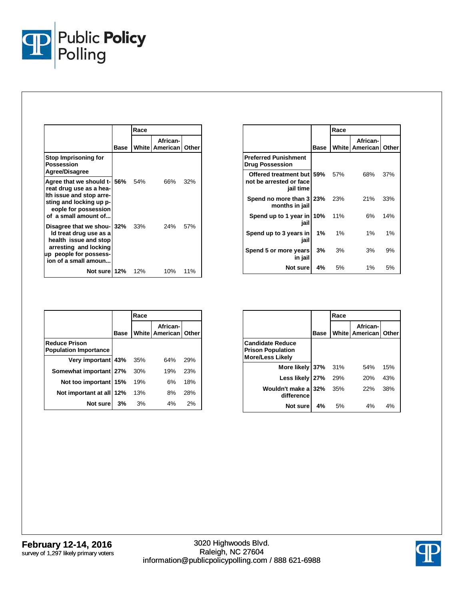

|                                                                                                                                                               |      | Race |                              |       |
|---------------------------------------------------------------------------------------------------------------------------------------------------------------|------|------|------------------------------|-------|
|                                                                                                                                                               | Base |      | African-<br>White   American | Other |
| Stop Imprisoning for<br>Possession<br>Agree/Disagree                                                                                                          |      |      |                              |       |
| Agree that we should t-156%<br>reat drug use as a hea-<br>Ith issue and stop arre-<br>sting and locking up p-<br>eople for possession<br>of a small amount of |      | 54%  | 66%                          | 32%   |
| Disagree that we shou- 32%<br>Id treat drug use as a<br>health issue and stop<br>arresting and locking<br>up people for possess-<br>ion of a small amoun      |      | 33%  | 24% 57%                      |       |
| Not sure 12%                                                                                                                                                  |      | 12%  | 10%                          | 11%   |

|                                                                   |      | Race  |                                      |     |
|-------------------------------------------------------------------|------|-------|--------------------------------------|-----|
|                                                                   | Base |       | African-<br>White   American   Other |     |
| <b>Preferred Punishment</b><br><b>Drug Possession</b>             |      |       |                                      |     |
| Offered treatment but 59%<br>not be arrested or face<br>jail time |      | 57%   | 68%                                  | 37% |
| Spend no more than 3 23%<br>months in jail                        |      | 23%   | 21%                                  | 33% |
| Spend up to 1 year in 10%<br>jail                                 |      | 11%   | 6%                                   | 14% |
| Spend up to 3 years in<br>jail                                    | 1%   | $1\%$ | 1%                                   | 1%  |
| Spend 5 or more years<br>in jail                                  | 3%   | 3%    | 3%                                   | 9%  |
| Not surel                                                         | 4%   | 5%    | $1\%$                                | 5%  |

|                                                      |             | Race |                                      |     |
|------------------------------------------------------|-------------|------|--------------------------------------|-----|
|                                                      | <b>Base</b> |      | African-<br>White   American   Other |     |
| <b>Reduce Prison</b><br><b>Population Importance</b> |             |      |                                      |     |
| Very important 43%                                   |             | 35%  | 64%                                  | 29% |
| Somewhat important 27%                               |             | 30%  | 19%                                  | 23% |
| Not too important 15%                                |             | 19%  | 6%                                   | 18% |
| Not important at all 12%                             |             | 13%  | 8%                                   | 28% |
| Not sure                                             | 3%          | 3%   | 4%                                   | 2%  |

|                                                                                |             | Race |                                      |     |
|--------------------------------------------------------------------------------|-------------|------|--------------------------------------|-----|
|                                                                                | <b>Base</b> |      | African-<br>White   American   Other |     |
| <b>Candidate Reduce</b><br><b>Prison Population</b><br><b>More/Less Likely</b> |             |      |                                      |     |
| More likely 37%                                                                |             | 31%  | 54%                                  | 15% |
| Less likely 27%                                                                |             | 29%  | 20%                                  | 43% |
| Wouldn't make a 32%<br>difference                                              |             | 35%  | 22%                                  | 38% |
| Not sure                                                                       | 4%          | 5%   | 4%                                   | 4%  |

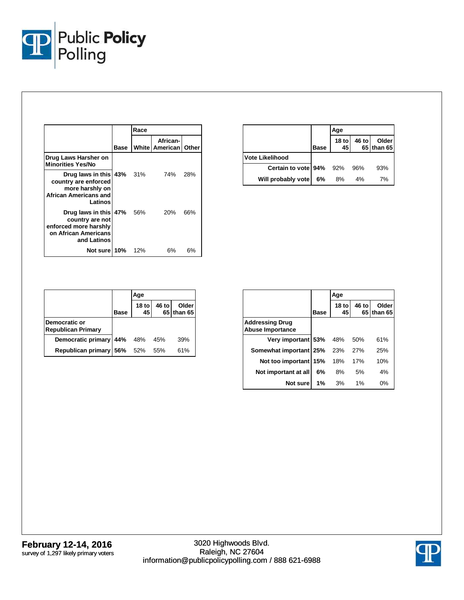

|                                                                                                                |      | Race |                                      |     |
|----------------------------------------------------------------------------------------------------------------|------|------|--------------------------------------|-----|
|                                                                                                                | Base |      | African-<br>White   American   Other |     |
| Drug Laws Harsher on<br><b>Minorities Yes/No</b>                                                               |      |      |                                      |     |
| Drug laws in this 43% 31%<br>country are enforced<br>more harshly on<br>African Americans and<br>Latinos       |      |      | 74%                                  | 28% |
| Drug laws in this   47% 56%<br>country are not<br>enforced more harshly<br>on African Americans<br>and Latinos |      |      | <b>20%</b>                           | 66% |
| <b>Not sure 10%</b> 12%                                                                                        |      |      | 6%                                   | 6%  |

|                        |      | Age         |       |                     |
|------------------------|------|-------------|-------|---------------------|
|                        | Base | 18 to<br>45 | 46 to | Older<br>65 than 65 |
| <b>Vote Likelihood</b> |      |             |       |                     |
| Certain to vote 94%    |      | 92%         | 96%   | 93%                 |
| Will probably vote     | 6%   | 8%          | 4%    | 7%                  |

|                                            |      | Age                    |       |                     |
|--------------------------------------------|------|------------------------|-------|---------------------|
|                                            | Base | 18 <sub>to</sub><br>45 | 46 to | Older<br>65 than 65 |
| Democratic or<br><b>Republican Primary</b> |      |                        |       |                     |
| Democratic primary                         | 44%  | 48%                    | 45%   | 39%                 |
| Republican primary                         | 56%  | 52%                    | 55%   | 61%                 |

|                                                   |      | Age                    |       |                     |
|---------------------------------------------------|------|------------------------|-------|---------------------|
|                                                   | Base | 18 <sub>to</sub><br>45 | 46 to | Older<br>65 than 65 |
| <b>Addressing Drug</b><br><b>Abuse Importance</b> |      |                        |       |                     |
| Very important 53%                                |      | 48%                    | 50%   | 61%                 |
| Somewhat important 25%                            |      | 23%                    | 27%   | 25%                 |
| Not too important                                 | 15%  | 18%                    | 17%   | 10%                 |
| Not important at all                              | 6%   | 8%                     | 5%    | 4%                  |
| Not sure                                          | 1%   | 3%                     | 1%    | 0%                  |

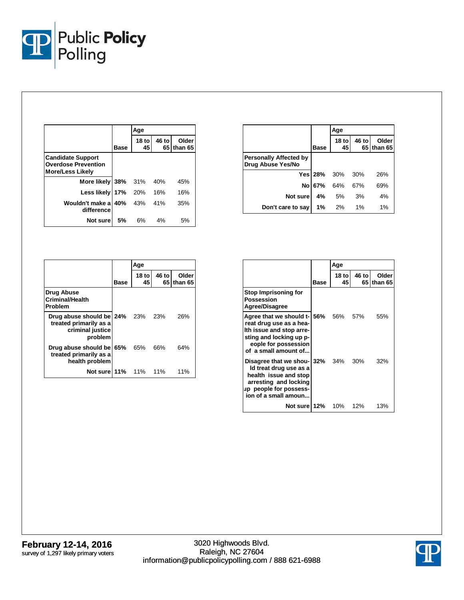

|                                                                                   |           | Age         |       |                       |
|-----------------------------------------------------------------------------------|-----------|-------------|-------|-----------------------|
|                                                                                   | Base      | 18 to<br>45 | 46 to | Older<br>65 I than 65 |
| <b>Candidate Support</b><br><b>Overdose Prevention</b><br><b>More/Less Likely</b> |           |             |       |                       |
| More likely                                                                       | 38%       | - 31%       | 40%   | 45%                   |
| Less likely   17%                                                                 |           | 20%         | 16%   | 16%                   |
| Wouldn't make a<br>difference                                                     | 40%       | 43%         | 41%   | 35%                   |
| Not sure                                                                          | <b>5%</b> | 6%          | 4%    | 5%                    |

|                                                                                   |      | Age           |             |                  |
|-----------------------------------------------------------------------------------|------|---------------|-------------|------------------|
|                                                                                   | Base | $18$ to<br>45 | 46 to<br>65 | Older<br>than 65 |
| <b>Drug Abuse</b><br><b>Criminal/Health</b><br>Problem                            |      |               |             |                  |
| Drug abuse should be 24%<br>treated primarily as a<br>criminal justice<br>problem |      | 23%           | - 23%       | 26%              |
| Drug abuse should be<br>treated primarily as a<br>health problem                  | 65%  | 65%           | 66%         | 64%              |
| Not sure 11%                                                                      |      | 11%           | 11%         | 11%              |

|                                                    |                | Age           |       |                     |
|----------------------------------------------------|----------------|---------------|-------|---------------------|
|                                                    | <b>Base</b>    | $18$ to<br>45 | 46 to | Older<br>65 than 65 |
| <b>Personally Affected by</b><br>Drug Abuse Yes/No |                |               |       |                     |
|                                                    | <b>Yes</b> 28% | 30%           | 30%   | 26%                 |
| Nol                                                | 67%            | 64%           | 67%   | 69%                 |
| Not sure                                           | 4%             | 5%            | 3%    | 4%                  |
| Don't care to say                                  | 1%             | 2%            | 1%    | 1%                  |

|                                                                                                                                                                       |      | Age          |               |                  |
|-----------------------------------------------------------------------------------------------------------------------------------------------------------------------|------|--------------|---------------|------------------|
|                                                                                                                                                                       | Base | 18 tol<br>45 | 46 to<br>65 I | Older<br>than 65 |
| Stop Imprisoning for<br>Possession<br>Agree/Disagree                                                                                                                  |      |              |               |                  |
| Agree that we should t-156% 56% 57%<br>reat drug use as a hea-<br>Ith issue and stop arre-<br>sting and locking up p-<br>eople for possession<br>of a small amount of |      |              |               | 55%              |
| Disagree that we shou- 32% 34% 30%<br>Id treat drug use as a<br>health issue and stop<br>arresting and locking<br>up people for possess-<br>ion of a small amoun      |      |              |               | 32%              |
| Not sure 12% 10% 12%                                                                                                                                                  |      |              |               | 13%              |